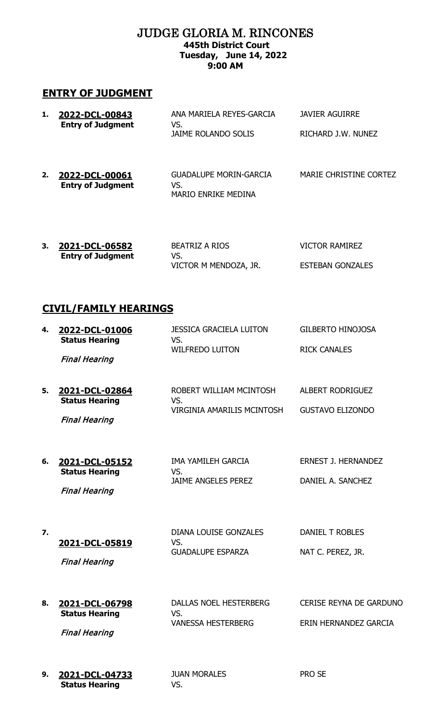### JUDGE GLORIA M. RINCONES **445th District Court Tuesday, June 14, 2022 9:00 AM**

## **ENTRY OF JUDGMENT**

| 1. | 2022-DCL-00843<br><b>Entry of Judgment</b> | ANA MARIELA REYES-GARCIA<br>VS.<br>JAIME ROLANDO SOLIS      | JAVIER AGUIRRE<br>RICHARD J.W. NUNEZ |
|----|--------------------------------------------|-------------------------------------------------------------|--------------------------------------|
| 2. | 2022-DCL-00061<br><b>Entry of Judgment</b> | GUADALUPE MORIN-GARCIA<br>VS.<br><b>MARIO ENRIKE MEDINA</b> | MARIE CHRISTINE CORTEZ               |

| 3. | 2021-DCL-06582           | BEATRIZ A RIOS        | VICTOR RAMIREZ          |
|----|--------------------------|-----------------------|-------------------------|
|    | <b>Entry of Judgment</b> | VS.                   |                         |
|    |                          | VICTOR M MENDOZA, JR. | <b>ESTEBAN GONZALES</b> |

# **CIVIL/FAMILY HEARINGS**

| 4. | <u>2022-DCL-01006</u><br><b>Status Hearing</b><br><b>Final Hearing</b> | JESSICA GRACIELA LUITON<br>VS.<br><b>WILFREDO LUITON</b>          | GILBERTO HINOJOSA<br><b>RICK CANALES</b>                |
|----|------------------------------------------------------------------------|-------------------------------------------------------------------|---------------------------------------------------------|
| 5. | 2021-DCL-02864<br><b>Status Hearing</b><br><b>Final Hearing</b>        | ROBERT WILLIAM MCINTOSH<br>VS.<br>VIRGINIA AMARILIS MCINTOSH      | ALBERT RODRIGUEZ<br><b>GUSTAVO ELIZONDO</b>             |
| 6. | 2021-DCL-05152<br><b>Status Hearing</b><br><b>Final Hearing</b>        | IMA YAMILEH GARCIA<br>VS.<br><b>JAIME ANGELES PEREZ</b>           | <b>ERNEST J. HERNANDEZ</b><br>DANIEL A. SANCHEZ         |
| 7. | 2021-DCL-05819<br><b>Final Hearing</b>                                 | <b>DIANA LOUISE GONZALES</b><br>VS.<br><b>GUADALUPE ESPARZA</b>   | <b>DANIEL T ROBLES</b><br>NAT C. PEREZ, JR.             |
| 8. | 2021-DCL-06798<br><b>Status Hearing</b><br><b>Final Hearing</b>        | <b>DALLAS NOEL HESTERBERG</b><br>VS.<br><b>VANESSA HESTERBERG</b> | <b>CERISE REYNA DE GARDUNO</b><br>ERIN HERNANDEZ GARCIA |
| 9. | 2021-DCL-04733<br><b>Status Hearing</b>                                | <b>JUAN MORALES</b><br>VS.                                        | PRO SE                                                  |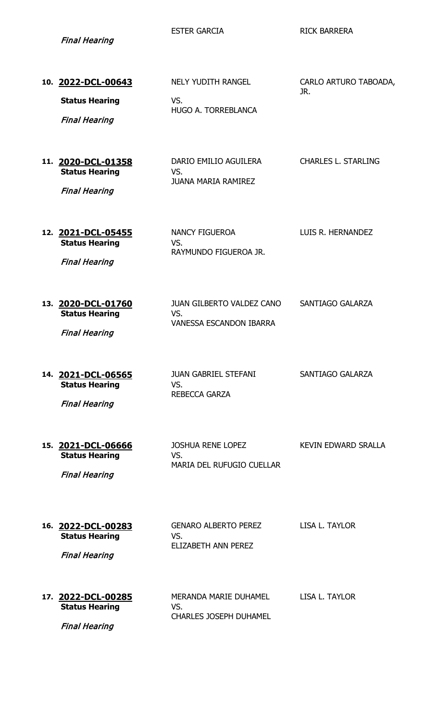Final Hearing

Final Hearing

ESTER GARCIA **RICK BARRERA** 

| 10. 2022-DCL-00643<br><b>Status Hearing</b><br><b>Final Hearing</b> | <b>NELY YUDITH RANGEL</b><br>VS.<br>HUGO A. TORREBLANCA                   | CARLO ARTURO TABOADA,<br>JR. |
|---------------------------------------------------------------------|---------------------------------------------------------------------------|------------------------------|
| 11. 2020-DCL-01358<br><b>Status Hearing</b><br><b>Final Hearing</b> | DARIO EMILIO AGUILERA<br>VS.<br><b>JUANA MARIA RAMIREZ</b>                | <b>CHARLES L. STARLING</b>   |
| 12. 2021-DCL-05455<br><b>Status Hearing</b><br><b>Final Hearing</b> | NANCY FIGUEROA<br>VS.<br>RAYMUNDO FIGUEROA JR.                            | LUIS R. HERNANDEZ            |
| 13. 2020-DCL-01760<br><b>Status Hearing</b><br><b>Final Hearing</b> | <b>JUAN GILBERTO VALDEZ CANO</b><br>VS.<br><b>VANESSA ESCANDON IBARRA</b> | SANTIAGO GALARZA             |
| 14. 2021-DCL-06565<br><b>Status Hearing</b><br><b>Final Hearing</b> | <b>JUAN GABRIEL STEFANI</b><br>VS.<br>REBECCA GARZA                       | SANTIAGO GALARZA             |
| 15. 2021-DCL-06666<br><b>Status Hearing</b><br><b>Final Hearing</b> | <b>JOSHUA RENE LOPEZ</b><br>VS.<br><b>MARIA DEL RUFUGIO CUELLAR</b>       | <b>KEVIN EDWARD SRALLA</b>   |
| 16. 2022-DCL-00283<br><b>Status Hearing</b><br><b>Final Hearing</b> | <b>GENARO ALBERTO PEREZ</b><br>VS.<br><b>ELIZABETH ANN PEREZ</b>          | LISA L. TAYLOR               |
| 17. 2022-DCL-00285<br><b>Status Hearing</b>                         | MERANDA MARIE DUHAMEL<br>VS.                                              | LISA L. TAYLOR               |

CHARLES JOSEPH DUHAMEL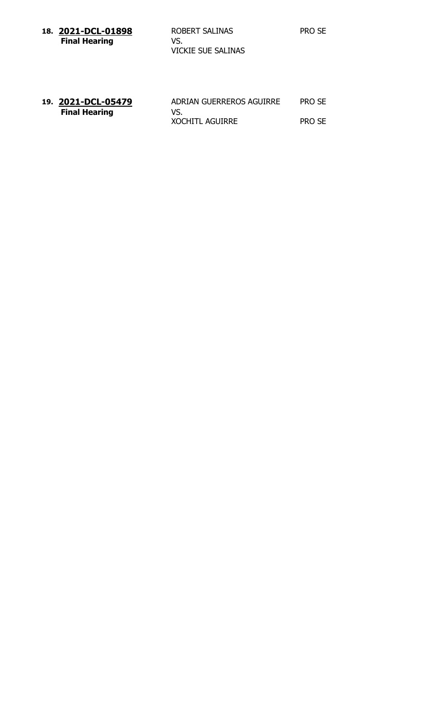| 18. 2021-DCL-01898   | ROBERT SALINAS            | PRO SE |
|----------------------|---------------------------|--------|
| <b>Final Hearing</b> | VS.<br>VICKIE SUE SALINAS |        |

| 19. 2021-DCL-05479   | ADRIAN GUERREROS AGUIRRE | PRO SE |
|----------------------|--------------------------|--------|
| <b>Final Hearing</b> | VS.                      |        |
|                      | <b>XOCHITL AGUIRRE</b>   | PRO SE |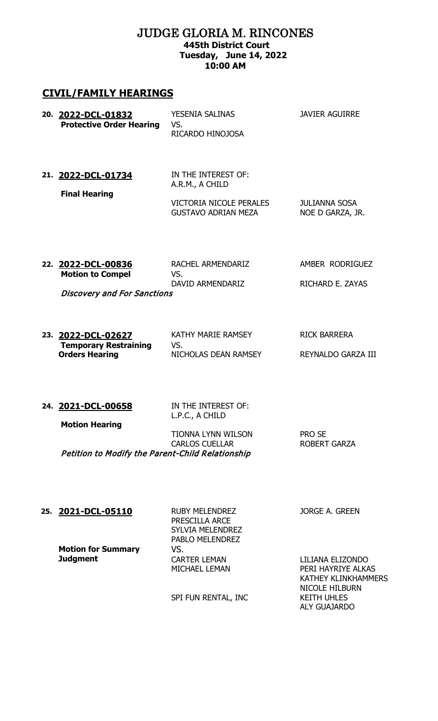### JUDGE GLORIA M. RINCONES **445th District Court Tuesday, June 14, 2022 10:00 AM**

#### **CIVIL/FAMILY HEARINGS**

| 20. 2022-DCL-01832<br><b>Protective Order Hearing</b> | YESENIA SALINAS<br>VS.<br>RICARDO HINOJOSA                                                      | <b>JAVIER AGUIRRE</b>                    |
|-------------------------------------------------------|-------------------------------------------------------------------------------------------------|------------------------------------------|
| 21. 2022-DCL-01734<br><b>Final Hearing</b>            | IN THE INTEREST OF:<br>A.R.M., A CHILD<br>VICTORIA NICOLE PERALES<br><b>GUSTAVO ADRIAN MEZA</b> | <b>JULIANNA SOSA</b><br>NOE D GARZA, JR. |
|                                                       |                                                                                                 |                                          |

**22. 2022-DCL-00836** RACHEL ARMENDARIZ AMBER RODRIGUEZ<br>Motion to Compel VS. **Motion to Compel** DAVID ARMENDARIZ RICHARD E. ZAYAS

Discovery and For Sanctions

**23. 2022-DCL-02627** KATHY MARIE RAMSEY RICK BARRERA **Temporary Restraining Orders Hearing** VS.

NICHOLAS DEAN RAMSEY REYNALDO GARZA III

**24. 2021-DCL-00658** IN THE INTEREST OF:

L.P.C., A CHILD

| <b>Motion Hearing</b>                            |                       |               |  |
|--------------------------------------------------|-----------------------|---------------|--|
|                                                  | TIONNA LYNN WILSON    | <b>PRO SE</b> |  |
|                                                  | <b>CARLOS CUELLAR</b> | ROBERT GARZA  |  |
| Petition to Modify the Parent-Child Relationship |                       |               |  |

#### **25. 2021-DCL-05110** RUBY MELENDREZ

**Motion for Summary Judgment**

PRESCILLA ARCE SYLVIA MELENDREZ PABLO MELENDREZ VS. CARTER LEMAN MICHAEL LEMAN

JORGE A. GREEN

LILIANA ELIZONDO PERI HAYRIYE ALKAS KATHEY KLINKHAMMERS NICOLE HILBURN KEITH UHLES ALY GUAJARDO

SPI FUN RENTAL, INC